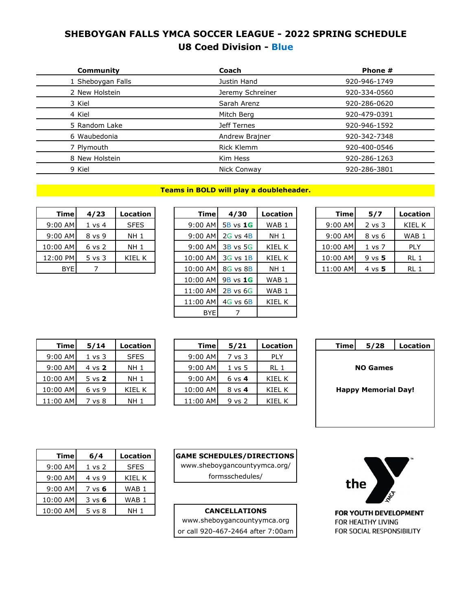## **SHEBOYGAN FALLS YMCA SOCCER LEAGUE - 2022 SPRING SCHEDULE U8 Coed Division - Blue**

| Community         | Coach            | Phone #      |  |
|-------------------|------------------|--------------|--|
| 1 Sheboygan Falls | Justin Hand      | 920-946-1749 |  |
| 2 New Holstein    | Jeremy Schreiner | 920-334-0560 |  |
| 3 Kiel            | Sarah Arenz      | 920-286-0620 |  |
| 4 Kiel            | Mitch Berg       | 920-479-0391 |  |
| 5 Random Lake     | Jeff Ternes      | 920-946-1592 |  |
| 6 Waubedonia      | Andrew Brajner   | 920-342-7348 |  |
| 7 Plymouth        | Rick Klemm       | 920-400-0546 |  |
| 8 New Holstein    | Kim Hess         | 920-286-1263 |  |
| 9 Kiel            | Nick Conway      | 920-286-3801 |  |
|                   |                  |              |  |

#### **Teams in BOLD will play a doubleheader.**

| <b>Time</b> | 4/23              | Location    |
|-------------|-------------------|-------------|
| 9:00 AM     | $1 \text{ vs } 4$ | <b>SFES</b> |
| $9:00$ AM   | $8 \text{ vs } 9$ | NH 1        |
| 10:00 AM    | $6 \text{ vs } 2$ | NH 1        |
| 12:00 PM    | $5 \text{ vs } 3$ | KIFI K      |
| <b>BYE</b>  |                   |             |

| <b>Time</b> | 4/23              | Location        | Timel      | 4/30         | Location         | <b>Time</b> | 5/7               | Location         |
|-------------|-------------------|-----------------|------------|--------------|------------------|-------------|-------------------|------------------|
| $9:00$ AM   | $1 \text{ vs } 4$ | <b>SFES</b>     | $9:00$ AM  | $5B$ vs $1G$ | WAB <sub>1</sub> | 9:00 AM     | $2$ vs $3$        | KIEL K           |
| 9:00 AM     | 8 vs 9            | NH <sub>1</sub> | $9:00$ AM  | $2G$ vs $4B$ | NH <sub>1</sub>  | $9:00$ AM   | 8 vs 6            | WAB <sub>1</sub> |
| 10:00 AM    | $6$ vs $2$        | NH <sub>1</sub> | $9:00$ AM  | $3B$ vs 5G   | KIEL K           | 10:00 AM    | $1 \text{ vs } 7$ | <b>PLY</b>       |
| 12:00 PM    | $5 \text{ vs } 3$ | KIEL K          | $10:00$ AM | $3G$ vs $1B$ | KIEL K           | 10:00 AM    | $9$ vs $5$        | RL 1             |
| <b>BYE</b>  | 7                 |                 | $10:00$ AM | $8G$ vs $8B$ | NH <sub>1</sub>  | 11:00 AM    | $4 \text{ vs } 5$ | RL 1             |
|             |                   |                 | $10:00$ AM | $9B$ vs $1G$ | WAB <sub>1</sub> |             |                   |                  |
|             |                   |                 | 11:00 AM   | $2B$ vs 6G   | WAB <sub>1</sub> |             |                   |                  |
|             |                   |                 | 11:00 AM   | $4G$ vs $6B$ | KIEL K           |             |                   |                  |
|             |                   |                 | <b>BYE</b> |              |                  |             |                   |                  |

| Timel     | 5/7        | Location |
|-----------|------------|----------|
| 9:00 AM   | $2$ vs $3$ | KIEL K   |
| $9:00$ AM | 8 vs 6     | WAB 1    |
| 10:00 AM  | 1 vs 7     | PI Y     |
| 10:00 AM  | $9$ vs $5$ | RI 1     |
| 11:00 AM  | 4 vs $5$   | RI 1     |

| <b>Time</b> | 5/14              | <b>Location</b> | <b>Time</b> | 5/21              | Locatio       |
|-------------|-------------------|-----------------|-------------|-------------------|---------------|
| $9:00$ AM   | $1 \text{ vs } 3$ | <b>SFES</b>     | $9:00$ AM   | 7 vs 3            | <b>PLY</b>    |
| $9:00$ AM   | 4 vs 2            | <b>NH 1</b>     | $9:00$ AM   | $1 \text{ vs } 5$ | RL 1          |
| 10:00 AM    | $5 \text{ vs } 2$ | <b>NH 1</b>     | $9:00$ AM   | $6 \text{ vs } 4$ | KIEL K        |
| 10:00 AM    | $6$ vs $9$        | KIEL K          | 10:00 AM    | 8 vs 4            | KIEL K        |
| 11:00 AM    | 7 vs 8            | <b>NH 1</b>     | 11:00 AM    | $9$ vs $2$        | <b>KIEL K</b> |

| 5/28<br>Location           | Time | Location        | 5/21              | Timel     | <b>Location</b> | 5/14              | Timel     |
|----------------------------|------|-----------------|-------------------|-----------|-----------------|-------------------|-----------|
|                            |      | <b>PLY</b>      | 7 vs 3            | $9:00$ AM | <b>SFES</b>     | $1 \text{ vs } 3$ | $9:00$ AM |
| <b>NO Games</b>            |      | RL <sub>1</sub> | 1 vs 5            | $9:00$ AM | NH 1            | 4 vs 2            | $9:00$ AM |
|                            |      | KIEL K          | $6 \text{ vs } 4$ | $9:00$ AM | NH 1            | $5 \text{ vs } 2$ | 10:00 AM  |
| <b>Happy Memorial Day!</b> |      | KIEL K          | $8 \text{ vs } 4$ | 10:00 AM  | KIEL K          | $6$ vs $9$        | 10:00 AM  |
|                            |      | KIEL K          | $9$ vs $2$        | 11:00 AM  | <b>NH 1</b>     | vs 8              | 11:00 AM  |

| <b>Time</b>                | 5/28 | Location |  |  |  |  |  |
|----------------------------|------|----------|--|--|--|--|--|
| <b>NO Games</b>            |      |          |  |  |  |  |  |
| <b>Happy Memorial Day!</b> |      |          |  |  |  |  |  |
|                            |      |          |  |  |  |  |  |

| <b>Time</b> | 6/4               | Location         |
|-------------|-------------------|------------------|
| $9:00$ AM   | $1 \text{ vs } 2$ | <b>SFES</b>      |
| $9:00$ AM   | 4 vs 9            | KIFI K           |
| $9:00$ AM   | $7$ vs 6          | WAB <sub>1</sub> |
| 10:00 AM    | $3 \text{ vs } 6$ | WAB 1            |
| 10:00 AM    | 5 vs 8            | NH 1             |

**GAME SCHEDULES/DIRECTIONS**  [www.sheboygancountyymca.org/](http://www.sheboygancountyymca.org/) formsschedules/

#### **CANCELLATIONS**

[www.sheboygancountyymca.org](http://www.sheboygancountyymca.org/) or call 920-467-2464 after 7:00am

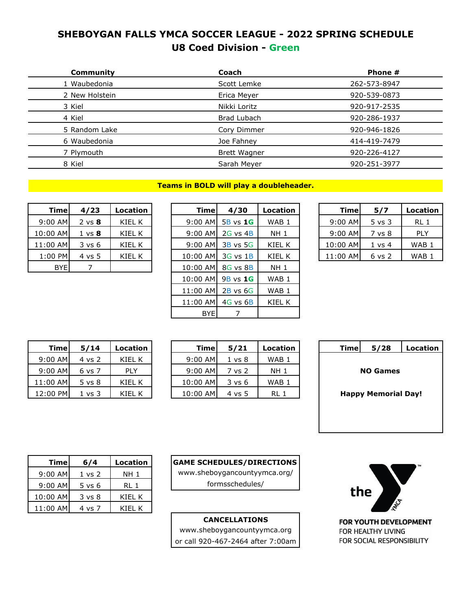## **SHEBOYGAN FALLS YMCA SOCCER LEAGUE - 2022 SPRING SCHEDULE U8 Coed Division - Green**

| Community      | Coach               | Phone #      |
|----------------|---------------------|--------------|
| 1 Waubedonia   | Scott Lemke         | 262-573-8947 |
| 2 New Holstein | Erica Meyer         | 920-539-0873 |
| 3 Kiel         | Nikki Loritz        | 920-917-2535 |
| 4 Kiel         | Brad Lubach         | 920-286-1937 |
| 5 Random Lake  | Cory Dimmer         | 920-946-1826 |
| 6 Waubedonia   | Joe Fahney          | 414-419-7479 |
| 7 Plymouth     | <b>Brett Wagner</b> | 920-226-4127 |
| 8 Kiel         | Sarah Meyer         | 920-251-3977 |
|                |                     |              |

**Teams in BOLD will play a doubleheader.**

| <b>Time</b> | 4/23              | Location |
|-------------|-------------------|----------|
| $9:00$ AM   | $2 \text{ vs } 8$ | KIEL K   |
| 10:00 AM    | $1 \text{ vs } 8$ | KIEL K   |
| 11:00 AM    | $3 \text{ vs } 6$ | KIEL K   |
| 1:00 PM     | 4 vs 5            | KIFI K   |
| BYEl        |                   |          |

| <b>Time</b> | 4/23              | Location | Timel      | 4/30         | Location | <b>Time</b> | 5/7               | Location         |
|-------------|-------------------|----------|------------|--------------|----------|-------------|-------------------|------------------|
| 9:00 AM     | $2 \text{ vs } 8$ | KIEL K   | $9:00$ AM  | 5B vs 1G     | WAB 1    | 9:00 AM     | $5 \text{ vs } 3$ | RL 1             |
| 10:00 AM    | $1 \text{ vs } 8$ | KIEL K   | $9:00$ AM  | $2G$ vs $4B$ | NH 1     | $9:00$ AM   | 7 vs 8            | <b>PLY</b>       |
| 11:00 AM    | 3 v s 6           | KIEL K   | $9:00$ AM  | $3B$ vs 5G   | KIEL K   | 10:00 AM    | $1 \text{ vs } 4$ | WAB <sub>1</sub> |
| $1:00$ PM   | 4 vs 5            | KIEL K   | $10:00$ AM | $3G$ vs $1B$ | KIEL K   | 11:00 AM    | $6$ vs $2$        | WAB <sub>1</sub> |
| <b>BYE</b>  |                   |          | 10:00 AM   | $8G$ vs $8B$ | NH 1     |             |                   |                  |
|             |                   |          | 10:00 AM   | 9B vs 1G     | WAB 1    |             |                   |                  |
|             |                   |          | 11:00 AM   | $2B$ vs $6G$ | WAB 1    |             |                   |                  |
|             |                   |          | 11:00 AM   | $4G$ vs $6B$ | KIEL K   |             |                   |                  |
|             |                   |          | <b>BYE</b> |              |          |             |                   |                  |

| Timel     | 5/7               | Location |
|-----------|-------------------|----------|
| $9:00$ AM | $5$ vs $3$        | RI 1     |
| $9:00$ AM | 7 vs 8            | PI Y     |
| 10:00 AM  | $1 \text{ vs } 4$ | WAB 1    |
| 11:00 AM  | $6 \text{ vs } 2$ | WAB 1    |

| Time     | 5/14              | Location |
|----------|-------------------|----------|
| 9:00 AM  | 4 vs 2            | KIFI K   |
| 9:00 AM  | 6 vs 7            | PI Y     |
| 11:00 AM | $5 \text{ vs } 8$ | KIFI K   |
| 12:00 PM | $1 \text{ vs } 3$ | KIFI K   |

| 5/28<br>Location           | Time. |  | Location         | 5/21              | Timel      | Location   | 5/14   | Timel     |
|----------------------------|-------|--|------------------|-------------------|------------|------------|--------|-----------|
|                            |       |  | WAB <sub>1</sub> | $1 \text{ vs } 8$ | $9:00$ AMI | KIEL K     | 4 vs 2 | $9:00$ AM |
| <b>NO Games</b>            |       |  | <b>NH 1</b>      | 7 vs 2            | $9:00$ AM  | <b>PLY</b> | 6 vs 7 | $9:00$ AM |
|                            |       |  | WAB <sub>1</sub> | 3 vs 6            | 10:00 AM   | KIEL K     | 5 vs 8 | 11:00 AM  |
| <b>Happy Memorial Day!</b> |       |  | RL 1             | $4 \text{ vs } 5$ | 10:00 AM   | KIEL K     | . vs 3 | 12:00 PM  |

| <b>Time</b> | 5/28                       | Location |  |  |  |  |  |  |  |
|-------------|----------------------------|----------|--|--|--|--|--|--|--|
|             |                            |          |  |  |  |  |  |  |  |
|             | <b>NO Games</b>            |          |  |  |  |  |  |  |  |
|             |                            |          |  |  |  |  |  |  |  |
|             |                            |          |  |  |  |  |  |  |  |
|             | <b>Happy Memorial Day!</b> |          |  |  |  |  |  |  |  |
|             |                            |          |  |  |  |  |  |  |  |
|             |                            |          |  |  |  |  |  |  |  |
|             |                            |          |  |  |  |  |  |  |  |
|             |                            |          |  |  |  |  |  |  |  |

| <b>Time</b> | 6/4               | Location |
|-------------|-------------------|----------|
| $9:00$ AM   | $1 \text{ vs } 2$ | NH 1     |
| $9:00$ AM   | $5 \text{ vs } 6$ | RI 1     |
| 10:00 AM    | $3 \text{ vs } 8$ | KIFI K   |
| 11:00 AM    | 4 vs 7            | KIFI K   |

**GAME SCHEDULES/DIRECTIONS** 

[www.sheboygancountyymca.org/](http://www.sheboygancountyymca.org/) formsschedules/

### **CANCELLATIONS**

[www.sheboygancountyymca.org](http://www.sheboygancountyymca.org/) or call 920-467-2464 after 7:00am

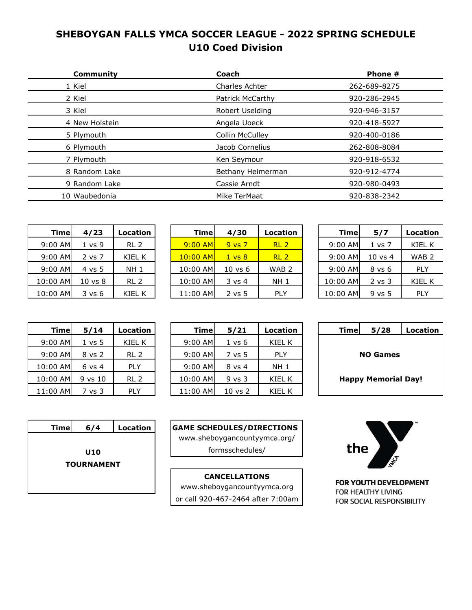# **SHEBOYGAN FALLS YMCA SOCCER LEAGUE - 2022 SPRING SCHEDULE U10 Coed Division**

| Community      | Coach             | Phone #      |  |
|----------------|-------------------|--------------|--|
| 1 Kiel         | Charles Achter    | 262-689-8275 |  |
| 2 Kiel         | Patrick McCarthy  | 920-286-2945 |  |
| 3 Kiel         | Robert Uselding   | 920-946-3157 |  |
| 4 New Holstein | Angela Uoeck      | 920-418-5927 |  |
| 5 Plymouth     | Collin McCulley   | 920-400-0186 |  |
| 6 Plymouth     | Jacob Cornelius   | 262-808-8084 |  |
| 7 Plymouth     | Ken Seymour       | 920-918-6532 |  |
| 8 Random Lake  | Bethany Heimerman | 920-912-4774 |  |
| 9 Random Lake  | Cassie Arndt      | 920-980-0493 |  |
| 10 Waubedonia  | Mike TerMaat      | 920-838-2342 |  |
|                |                   |              |  |

| <b>Time</b> | 4/23               | <b>Location</b> |
|-------------|--------------------|-----------------|
| $9:00$ AM   | 1 vs 9             | RL <sub>2</sub> |
| $9:00$ AM   | 2 vs 7             | KIEL K          |
| $9:00$ AM   | 4 vs 5             | NH 1            |
| 10:00 AM    | $10 \text{ vs } 8$ | RL 2            |
| 10:00 AM    | $3 \text{ vs } 6$  | KIFI K          |

| <b>Time</b> | 4/23               | Location        | <b>Time</b> | 4/30               | Location         | Timel     | 5/7                | Location         |
|-------------|--------------------|-----------------|-------------|--------------------|------------------|-----------|--------------------|------------------|
| $9:00$ AM   | 1 vs 9             | RL <sub>2</sub> | $9:00$ AM   | $9$ vs $7$         | RL <sub>2</sub>  | $9:00$ AM | $1 \text{ vs } 7$  | KIEL K           |
| 9:00 AM     | 2 vs 7             | KIEL K          | $10:00$ AM  | $1 \text{ vs } 8$  | RL <sub>2</sub>  | $9:00$ AM | $10 \text{ vs } 4$ | WAB <sub>2</sub> |
| 9:00 AM     | 4 vs 5             | NH <sub>1</sub> | 10:00 AM    | $10 \text{ vs } 6$ | WAB <sub>2</sub> | $9:00$ AM | 8 vs 6             | <b>PLY</b>       |
| 10:00 AM    | $10 \text{ vs } 8$ | RL <sub>2</sub> | 10:00 AM    | $3 \text{ vs } 4$  | <b>NH 1</b>      | 10:00 AM  | 2 vs 3             | <b>KIEL K</b>    |
| 10:00 AM    | $3 \text{ vs } 6$  | KIEL K          | 11:00 AM    | $2$ vs 5           | <b>PLY</b>       | 10:00 AM  | $9$ vs $5$         | <b>PLY</b>       |

| <b>Time</b> | 5/7                | Location         |
|-------------|--------------------|------------------|
| $9:00$ AM   | $1 \text{ vs } 7$  | KIEL K           |
| 9:00 AM     | $10 \text{ vs } 4$ | WAB <sub>2</sub> |
| $9:00$ AM   | 8 vs 6             | PI Y             |
| 10:00 AM    | $2$ vs $3$         | <b>KIEL K</b>    |
| 10:00 AM    | 9 vs 5             | PI Y             |

| <b>Time</b>     | 5/28                       | Location |  |  |  |  |  |
|-----------------|----------------------------|----------|--|--|--|--|--|
|                 |                            |          |  |  |  |  |  |
| <b>NO Games</b> |                            |          |  |  |  |  |  |
|                 |                            |          |  |  |  |  |  |
|                 | <b>Happy Memorial Day!</b> |          |  |  |  |  |  |
|                 |                            |          |  |  |  |  |  |

|     |      | TM |
|-----|------|----|
| the | MICA |    |

FOR YOUTH DEVELOPMENT FOR HEALTHY LIVING FOR SOCIAL RESPONSIBILITY

| <b>Time</b> | 5/14    | Location        | <b>Timel</b> | 5/21        | Locatio         |
|-------------|---------|-----------------|--------------|-------------|-----------------|
| 9:00 AM     | 1 vs 5  | KIEL K          | 9:00 AM      | 1 vs 6      | KIEL I          |
| 9:00 AM     | 8 vs 2  | RL <sub>2</sub> | 9:00 AM      | 7 vs 5      | <b>PLY</b>      |
| 10:00 AM    | 6 vs 4  | <b>PLY</b>      | 9:00 AM      | 8 vs 4      | NH <sub>1</sub> |
| 10:00 AM    | 9 vs 10 | RL <sub>2</sub> | 10:00 AM     | $9$ vs $3$  | KIEL I          |
| 11:00 AM    | 7 vs 3  | <b>PLY</b>      | 11:00 AM     | $10$ vs $2$ | KIEL I          |

| 5/28<br>Location | Timel                      |  | Location   | 5/21        | <b>Time</b> | Location        | 5/14              | Timel     |
|------------------|----------------------------|--|------------|-------------|-------------|-----------------|-------------------|-----------|
|                  |                            |  | KIEL K     | 1 vs 6      | $9:00$ AM   | KIEL K          | 1 vs 5            | $9:00$ AM |
| <b>NO Games</b>  |                            |  | <b>PLY</b> | 7 vs 5      | $9:00$ AM   | RL <sub>2</sub> | 8 vs 2            | $9:00$ AM |
|                  |                            |  | NH 1       | 8 vs 4      | $9:00$ AM   | <b>PLY</b>      | $6 \text{ vs } 4$ | 10:00 AM  |
|                  | <b>Happy Memorial Day!</b> |  | KIEL K     | $9$ vs $3$  | 10:00 AM    | RL <sub>2</sub> | 9 vs 10           | 10:00 AM  |
|                  |                            |  | KIEL K     | $10$ vs $2$ | 11:00 AM    | <b>PLY</b>      | ' vs 3            | 11:00 AM  |
|                  |                            |  |            |             |             |                 |                   |           |

| <b>Time</b>       | 6/4        | <b>Location</b> |  |  |  |  |
|-------------------|------------|-----------------|--|--|--|--|
|                   |            |                 |  |  |  |  |
|                   | <b>U10</b> |                 |  |  |  |  |
| <b>TOURNAMENT</b> |            |                 |  |  |  |  |
|                   |            |                 |  |  |  |  |
|                   |            |                 |  |  |  |  |

| <b>GAME SCHEDULES/DIRECTIONS</b> |  |
|----------------------------------|--|
| www.sheboygancountyymca.org/     |  |
| formsschedules/                  |  |
|                                  |  |

**CANCELLATIONS** [www.sheboygancountyymca.org](http://www.sheboygancountyymca.org/) or call 920-467-2464 after 7:00am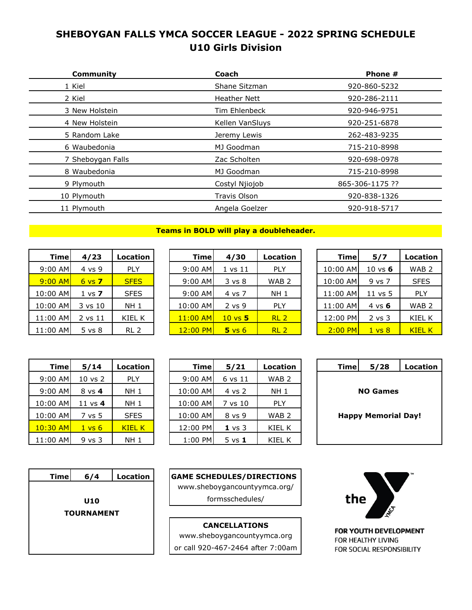# **SHEBOYGAN FALLS YMCA SOCCER LEAGUE - 2022 SPRING SCHEDULE U10 Girls Division**

| <b>Community</b>  | Coach               | Phone #         |
|-------------------|---------------------|-----------------|
| 1 Kiel            | Shane Sitzman       | 920-860-5232    |
| 2 Kiel            | <b>Heather Nett</b> | 920-286-2111    |
| 3 New Holstein    | Tim Ehlenbeck       | 920-946-9751    |
| 4 New Holstein    | Kellen VanSluys     | 920-251-6878    |
| 5 Random Lake     | Jeremy Lewis        | 262-483-9235    |
| 6 Waubedonia      | MJ Goodman          | 715-210-8998    |
| 7 Sheboygan Falls | Zac Scholten        | 920-698-0978    |
| 8 Waubedonia      | MJ Goodman          | 715-210-8998    |
| 9 Plymouth        | Costyl Njiojob      | 865-306-1175 ?? |
| 10 Plymouth       | Travis Olson        | 920-838-1326    |
| 11 Plymouth       | Angela Goelzer      | 920-918-5717    |
|                   |                     |                 |

#### **Teams in BOLD will play a doubleheader.**

| <b>Time</b> | 4/23              | Location    |
|-------------|-------------------|-------------|
| 9:00 AM     | 4 vs 9            | PLY         |
| $9:00$ AM   | $6 \text{ vs } 7$ | <b>SFFS</b> |
| 10:00 AM    | $1 \text{ vs } 7$ | <b>SFES</b> |
| 10:00 AM    | 3 vs 10           | NH 1        |
| 11:00 AM    | 2 vs 11           | KIEL K      |
| 11:00 AM    | $5 \text{ vs } 8$ | RI 2        |

| <b>Time</b> | 4/23              | Location        | Timel      | 4/30               | Location         | <b>Time</b> | 5/7                | Location         |
|-------------|-------------------|-----------------|------------|--------------------|------------------|-------------|--------------------|------------------|
| $9:00$ AM   | 4 vs 9            | <b>PLY</b>      | $9:00$ AM  | $1$ vs $11$        | <b>PLY</b>       | 10:00 AM    | $10 \text{ vs } 6$ | WAB <sub>2</sub> |
| $9:00$ AM   | $6 \text{ vs } 7$ | <b>SFES</b>     | $9:00$ AM  | $3 \text{ vs } 8$  | WAB <sub>2</sub> | 10:00 AM    | 9 vs 7             | <b>SFES</b>      |
| 10:00 AM    | $1 \text{ vs } 7$ | <b>SFES</b>     | $9:00$ AM  | 4 vs 7             | <b>NH 1</b>      | 11:00 AM    | $11$ vs $5$        | <b>PLY</b>       |
| 10:00 AM    | 3 vs 10           | NH <sub>1</sub> | 10:00 AM   | $2$ vs $9$         | <b>PLY</b>       | 11:00 AM    | 4 vs $6$           | WAB <sub>2</sub> |
| 11:00 AM    | 2 vs 11           | KIEL K          | $11:00$ AM | $10 \text{ vs } 5$ | RL <sub>2</sub>  | 12:00 PM    | $2$ vs $3$         | KIEL K           |
| 11:00 AM    | 5 vs 8            | RL <sub>2</sub> | $12:00$ PM | $5 \text{ vs } 6$  | RL <sub>2</sub>  | $2:00$ PM   | $1 \text{ vs } 8$  | <b>KIEL K</b>    |

| <b>Time</b> | 5/7                | Location         |  |  |
|-------------|--------------------|------------------|--|--|
| 10:00 AM    | $10 \text{ vs } 6$ | WAB <sub>2</sub> |  |  |
| 10:00 AM    | 9 vs 7             | <b>SFES</b>      |  |  |
| 11:00 AM    | $11$ vs 5          | PLY              |  |  |
| 11:00 AM    | 4 vs 6             | WAB 2            |  |  |
| 12:00 PM    | $2$ vs $3$         | KIFI K           |  |  |
| $2:00$ PM   | $1 \text{ vs } 8$  | KIFI K           |  |  |
|             |                    |                  |  |  |

| <b>Time</b> | 5/14              | Location      | <b>Time</b> | 5/21              | Locati      |
|-------------|-------------------|---------------|-------------|-------------------|-------------|
| 9:00 AM     | $10$ vs $2$       | <b>PLY</b>    | $9:00$ AM   | 6 vs 11           | <b>WAB</b>  |
| $9:00$ AM   | 8 vs 4            | <b>NH 1</b>   | 10:00 AM    | 4 vs 2            | NH:         |
| 10:00 AM    | 11 $vs$ 4         | <b>NH 1</b>   | 10:00 AM    | 7 vs 10           | PLY         |
| 10:00 AM    | 7 vs 5            | <b>SFES</b>   | 10:00 AM    | 8 vs 9            | <b>WAB</b>  |
| $10:30$ AM  | $1 \text{ vs } 6$ | <b>KIEL K</b> | 12:00 PM    | $1 \text{ vs } 3$ | <b>KIEL</b> |
| 11:00 AM    | $9$ vs $3$        | <b>NH 1</b>   | 1:00 PM     | $5 \text{ vs } 1$ | KIEL        |

| 5/28<br>Timel<br>Location  | Location         | 5/21              | <b>Timel</b> | Location        | 5/14              | <b>Time</b> |
|----------------------------|------------------|-------------------|--------------|-----------------|-------------------|-------------|
|                            | WAB <sub>2</sub> | 6 vs 11           | $9:00$ AM    | <b>PLY</b>      | $10$ vs $2$       | 9:00 AM     |
| <b>NO Games</b>            | <b>NH 1</b>      | 4 vs 2            | 10:00 AM     | NH <sub>1</sub> | 8 vs 4            | $9:00$ AM   |
|                            | <b>PLY</b>       | 7 vs 10           | 10:00 AM     | NH <sub>1</sub> | 11 vs $4$         | 10:00 AM    |
| <b>Happy Memorial Day!</b> | WAB <sub>2</sub> | 8 vs 9            | 10:00 AM     | <b>SFES</b>     | 7 vs 5            | 10:00 AM    |
|                            | KIEL K           | $1 \text{ vs } 3$ | 12:00 PM     | <b>KIEL K</b>   | $1 \text{ vs } 6$ | $10:30$ AM  |
|                            | KIEL K           | $5$ vs $1$        | 1:00 PM      | NH 1            | $9$ vs $3$        | 11:00 AM    |

| Timel           | 5/28                       | Location |  |  |  |  |  |  |
|-----------------|----------------------------|----------|--|--|--|--|--|--|
|                 |                            |          |  |  |  |  |  |  |
| <b>NO Games</b> |                            |          |  |  |  |  |  |  |
|                 |                            |          |  |  |  |  |  |  |
|                 | <b>Happy Memorial Day!</b> |          |  |  |  |  |  |  |
|                 |                            |          |  |  |  |  |  |  |
|                 |                            |          |  |  |  |  |  |  |
|                 |                            |          |  |  |  |  |  |  |



**GAME SCHEDULES/DIRECTIONS**  [www.sheboygancountyymca.org/](http://www.sheboygancountyymca.org/) formsschedules/

**CANCELLATIONS** [www.sheboygancountyymca.org](http://www.sheboygancountyymca.org/) or call 920-467-2464 after 7:00am

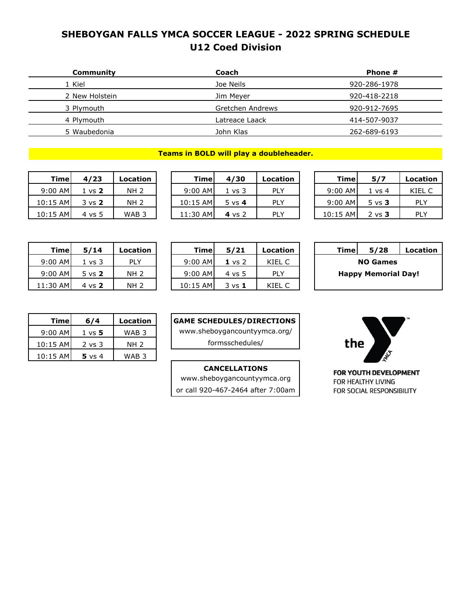## **SHEBOYGAN FALLS YMCA SOCCER LEAGUE - 2022 SPRING SCHEDULE U12 Coed Division**

| Community      | Coach            | Phone #      |
|----------------|------------------|--------------|
| 1 Kiel         | Joe Neils        | 920-286-1978 |
| 2 New Holstein | Jim Meyer        | 920-418-2218 |
| 3 Plymouth     | Gretchen Andrews | 920-912-7695 |
| 4 Plymouth     | Latreace Laack   | 414-507-9037 |
| 5 Waubedonia   | John Klas        | 262-689-6193 |

#### **Teams in BOLD will play a doubleheader.**

|           | Timel<br>4/23     |       |  |  |
|-----------|-------------------|-------|--|--|
| $9:00$ AM | $1 \text{ vs } 2$ | NH 2  |  |  |
| 10:15 AM  | $3 \text{ vs } 2$ | NH 2  |  |  |
| 10:15 AM  | $4 \text{ vs } 5$ | WAB 3 |  |  |

| Timel     | 4/23              | Location    | Timel     | 4/30     | Location   | Timel     | 5/7               | Location |
|-----------|-------------------|-------------|-----------|----------|------------|-----------|-------------------|----------|
| $9:00$ AM | l vs <b>2</b>     | <b>NH 2</b> | $9:00$ AM | 1 vs 3   | PLY        | $9:00$ AM | 1 vs 4            | KIEL C   |
| 10:15 AM  | $3 \text{ vs } 2$ | <b>NH 2</b> | 10:15 AM  | 5 vs $4$ | PLY        | $9:00$ AM | $5 \text{ vs } 3$ | PLY      |
| 10:15 AM  | 4 vs 5            | WAB 3       | 11:30 AM  | 4 vs 2   | <b>PLY</b> | 10:15 AM  | $2 \text{ vs } 3$ | PLY      |
|           |                   |             |           |          |            |           |                   |          |

| 5/28                       | Location |
|----------------------------|----------|
| <b>NO Games</b>            |          |
| <b>Happy Memorial Day!</b> |          |
|                            |          |
|                            |          |

| Timel     | 5/7               | Location |
|-----------|-------------------|----------|
| $9:00$ AM | $1 \text{ vs } 4$ | KIFI C   |
| $9:00$ AM | $5 \text{ vs } 3$ | PI Y     |
| 10:15 AM  | $2 \text{ vs } 3$ | DI V     |

| <b>Time</b>                | 5/28 | Location |  |  |  |  |  |
|----------------------------|------|----------|--|--|--|--|--|
| <b>NO Games</b>            |      |          |  |  |  |  |  |
| <b>Happy Memorial Day!</b> |      |          |  |  |  |  |  |
|                            |      |          |  |  |  |  |  |

| Timel      | 6/4               | Location |
|------------|-------------------|----------|
| $9:00$ AM  | $1 \text{ vs } 5$ | WAB 3    |
| 10:15 AM   | $2$ vs $3$        | NH 2     |
| $10:15$ AM | $5 \text{ vs } 4$ | WAB 3    |

11:30 AM 4 vs **2** NH 2

### **GAME SCHEDULES/DIRECTIONS**

[www.sheboygancountyymca.org/](http://www.sheboygancountyymca.org/)

formsschedules/

#### **CANCELLATIONS**

[www.sheboygancountyymca.org](http://www.sheboygancountyymca.org/) or call 920-467-2464 after 7:00am

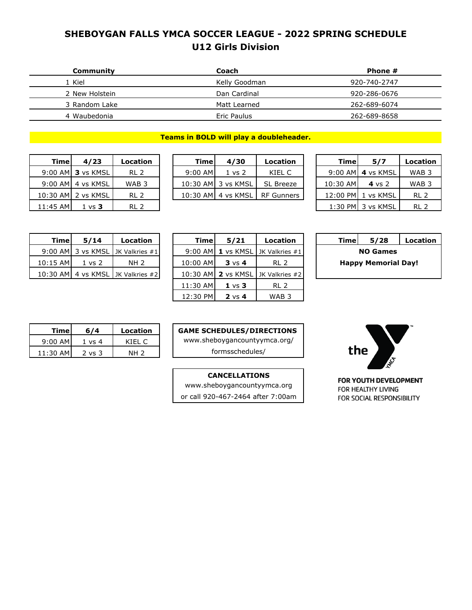## **SHEBOYGAN FALLS YMCA SOCCER LEAGUE - 2022 SPRING SCHEDULE U12 Girls Division**

| Community      | Coach         | Phone #      |
|----------------|---------------|--------------|
| 1 Kiel         | Kelly Goodman | 920-740-2747 |
| 2 New Holstein | Dan Cardinal  | 920-286-0676 |
| 3 Random Lake  | Matt Learned  | 262-689-6074 |
| 4 Waubedonia   | Eric Paulus   | 262-689-8658 |
|                |               |              |

#### **Teams in BOLD will play a doubleheader.**

| Timel      | 4/23                  | Location         | Timel     | 4/30               | Location                        | Timel    | 5/7                  | Locati          |
|------------|-----------------------|------------------|-----------|--------------------|---------------------------------|----------|----------------------|-----------------|
|            | 9:00 AM 3 vs KMSL     | RL <sub>2</sub>  | $9:00$ AM | $1 \text{ vs } 2$  | KIEL C                          |          | $9:00$ AMI 4 vs KMSL | <b>WAB</b>      |
|            | $9:00$ AM $4$ vs KMSL | WAB <sub>3</sub> |           | 10:30 AM 3 vs KMSL | SL Breeze                       | 10:30 AM | 4 vs $2$             | <b>WAB</b>      |
|            | 10:30 AM 2 vs KMSL    | RL <sub>2</sub>  |           |                    | 10:30 AM 4 vs KMSL   RF Gunners |          | 12:00 PM 1 vs KMSL   | RL <sub>2</sub> |
| $11:45$ AM | $1 \text{ vs } 3$     | RL <sub>2</sub>  |           |                    |                                 |          | 1:30 PM 3 vs KMSL    | RL <sub>2</sub> |

| Timel | 4/23                      | Location         | <b>Timel</b> | 4/30                  | Location         | Time.    | 5/7                | Location         |
|-------|---------------------------|------------------|--------------|-----------------------|------------------|----------|--------------------|------------------|
|       | 9:00 AMI <b>3</b> vs KMSL | RL <sub>2</sub>  | $9:00$ AM    | 1 vs 2                | KIEL C           |          | 9:00 AMI 4 vs KMSL | WAB <sub>3</sub> |
|       | 9:00 AMI 4 vs KMSL        | WAB <sub>3</sub> |              | 10:30 AMI 3 vs KMSL   | <b>SL Breeze</b> | 10:30 AM | 4 vs $2$           | WAB <sub>3</sub> |
|       | 10:30 AM 2 vs KMSL        | RL 2             |              | 10:30 AMI 4 vs KMSL I | RF Gunners       | 12:00 PM | 1 vs KMSL          | RL <sub>2</sub>  |
|       |                           |                  |              |                       |                  |          |                    |                  |

| Timel     | 5/7               | Location |
|-----------|-------------------|----------|
| $9:00$ AM | 4 vs KMSL         | WAB 3    |
| 10:30 AM  | $4$ vs $2$        | WAB 3    |
| 12:00 PM  | 1 vs KMSL         | RI 2     |
|           | 1:30 PM 3 vs KMSL | RI 2     |

| Timel                      | 5/28 | <b>Location</b> |  |  |  |  |
|----------------------------|------|-----------------|--|--|--|--|
| <b>NO Games</b>            |      |                 |  |  |  |  |
| <b>Happy Memorial Day!</b> |      |                 |  |  |  |  |

| Timel    | 5/14              | Location                            |
|----------|-------------------|-------------------------------------|
|          |                   | 9:00 AM 3 vs KMSL JK Valkries #1    |
| 10:15 AM | $1 \text{ vs } 2$ | NH 2                                |
|          |                   | 10:30 AM 4 vs KMSL   JK Valkries #2 |

| 5/28<br>Location<br>Timel  | Location                          | 5/21              | <b>Timel</b> | Location                           | 5/14              | Timel      |
|----------------------------|-----------------------------------|-------------------|--------------|------------------------------------|-------------------|------------|
| <b>NO Games</b>            | 1 vs KMSL 1K Valkries #1          |                   | 9:00 AMI     | 9:00 AM 3 vs KMSL JK Valkries $#1$ |                   |            |
| <b>Happy Memorial Day!</b> | RL <sub>2</sub>                   | $3 \text{ vs } 4$ | 10:00 AM     | NH 2                               | $1 \text{ vs } 2$ | $10:15$ AM |
|                            | 10:30 AM 2 vs KMSL JK Valkries #2 |                   |              | 10:30 AM 4 vs KMSL JK Valkries #2  |                   |            |
|                            | RL 2                              | $1 \vee s$ 3      | 11:30 AM     |                                    |                   |            |
|                            | WAB <sub>3</sub>                  | $2 \text{ vs } 4$ | 12:30 PM     |                                    |                   |            |

| Timel      | 674               | Location        |
|------------|-------------------|-----------------|
| $9:00$ AM  | 1 vs 4            | KIFI C          |
| $11:30$ AM | $2 \text{ vs } 3$ | NH <sub>2</sub> |

**GAME SCHEDULES/DIRECTIONS**  [www.sheboygancountyymca.org/](http://www.sheboygancountyymca.org/) formsschedules/

or call 920-467-2464 after 7:00am **CANCELLATIONS** [www.sheboygancountyymca.org](http://www.sheboygancountyymca.org/)